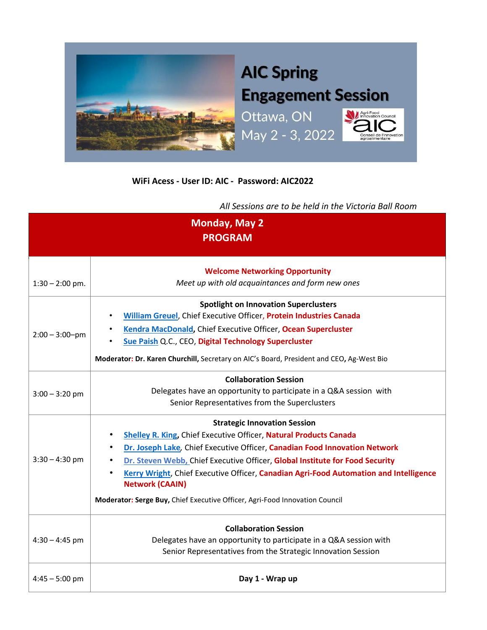

## **WiFi Acess - User ID: AIC - Password: AIC2022**

*All Sessions are to be held in the Victoria Ball Room*

| <b>Monday, May 2</b><br><b>PROGRAM</b> |                                                                                                                                                                                                                                                                                                                                                                                                                                                                                              |  |
|----------------------------------------|----------------------------------------------------------------------------------------------------------------------------------------------------------------------------------------------------------------------------------------------------------------------------------------------------------------------------------------------------------------------------------------------------------------------------------------------------------------------------------------------|--|
| $1:30 - 2:00$ pm.                      | <b>Welcome Networking Opportunity</b><br>Meet up with old acquaintances and form new ones                                                                                                                                                                                                                                                                                                                                                                                                    |  |
| $2:00 - 3:00 - pm$                     | <b>Spotlight on Innovation Superclusters</b><br>William Greuel, Chief Executive Officer, Protein Industries Canada<br>Kendra MacDonald, Chief Executive Officer, Ocean Supercluster<br>Sue Paish Q.C., CEO, Digital Technology Supercluster<br>Moderator: Dr. Karen Churchill, Secretary on AIC's Board, President and CEO, Ag-West Bio                                                                                                                                                      |  |
| $3:00 - 3:20$ pm                       | <b>Collaboration Session</b><br>Delegates have an opportunity to participate in a Q&A session with<br>Senior Representatives from the Superclusters                                                                                                                                                                                                                                                                                                                                          |  |
| $3:30 - 4:30$ pm                       | <b>Strategic Innovation Session</b><br><b>Shelley R. King, Chief Executive Officer, Natural Products Canada</b><br>Dr. Joseph Lake, Chief Executive Officer, Canadian Food Innovation Network<br>Dr. Steven Webb, Chief Executive Officer, Global Institute for Food Security<br>Kerry Wright, Chief Executive Officer, Canadian Agri-Food Automation and Intelligence<br>$\bullet$<br><b>Network (CAAIN)</b><br>Moderator: Serge Buy, Chief Executive Officer, Agri-Food Innovation Council |  |
| $4:30 - 4:45$ pm                       | <b>Collaboration Session</b><br>Delegates have an opportunity to participate in a Q&A session with<br>Senior Representatives from the Strategic Innovation Session                                                                                                                                                                                                                                                                                                                           |  |
| $4:45 - 5:00$ pm                       | Day 1 - Wrap up                                                                                                                                                                                                                                                                                                                                                                                                                                                                              |  |